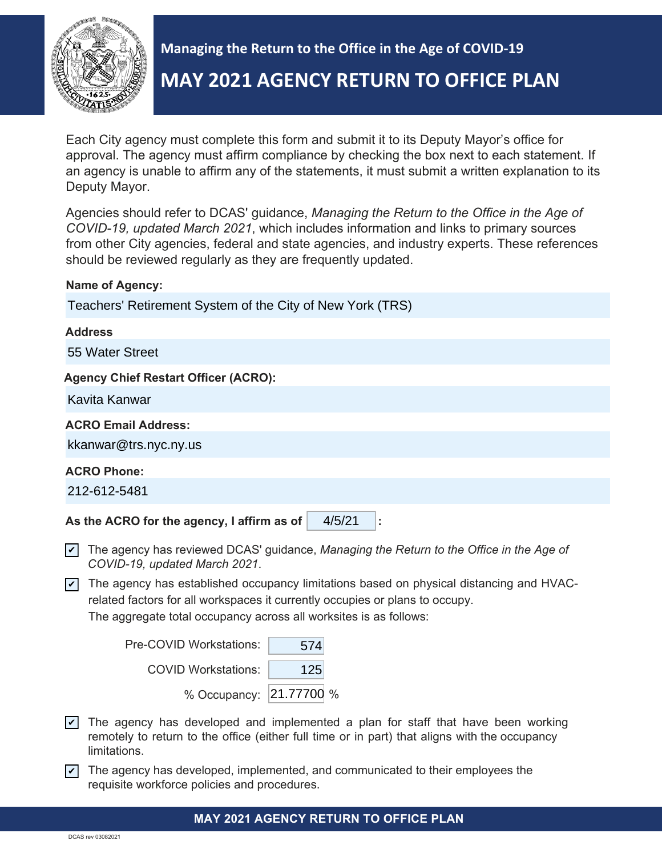

**Managing the Return to the Office in the Age of COVID-19 MAY 2021 AGENCY RETURN TO OFFICE PLAN**

Each City agency must complete this form and submit it to its Deputy Mayor's office for approval. The agency must affirm compliance by checking the box next to each statement. If an agency is unable to affirm any of the statements, it must submit a written explanation to its Deputy Mayor.

Agencies should refer to DCAS' guidance, *Managing the Return to the Office in the Age of COVID-19, updated March 2021*, which includes information and links to primary sources from other City agencies, federal and state agencies, and industry experts. These references should be reviewed regularly as they are frequently updated.

| <b>Name of Agency:</b>                                                                                                                         |  |  |  |
|------------------------------------------------------------------------------------------------------------------------------------------------|--|--|--|
| Teachers' Retirement System of the City of New York (TRS)                                                                                      |  |  |  |
| <b>Address</b>                                                                                                                                 |  |  |  |
| 55 Water Street                                                                                                                                |  |  |  |
| <b>Agency Chief Restart Officer (ACRO):</b>                                                                                                    |  |  |  |
| Kavita Kanwar                                                                                                                                  |  |  |  |
| <b>ACRO Email Address:</b>                                                                                                                     |  |  |  |
| kkanwar@trs.nyc.ny.us                                                                                                                          |  |  |  |
| <b>ACRO Phone:</b>                                                                                                                             |  |  |  |
| 212-612-5481                                                                                                                                   |  |  |  |
| As the ACRO for the agency, I affirm as of<br>4/5/21<br>t,                                                                                     |  |  |  |
| The agency has reviewed DCAS' guidance, Managing the Return to the Office in the Age of<br>$ \boldsymbol{v} $<br>COVID-19, updated March 2021. |  |  |  |
| The agency has established occupancy limitations based on physical distancing and HVAC-<br>$\overline{\mathcal{V}}$                            |  |  |  |

related factors for all workspaces it currently occupies or plans to occupy. The aggregate total occupancy across all worksites is as follows:

| Pre-COVID Workstations: | 574 |  |
|-------------------------|-----|--|
| COVID Workstations:     | 125 |  |
| % Occupancy: 21.77700 % |     |  |

- $\blacktriangledown$  The agency has developed and implemented a plan for staff that have been working remotely to return to the office (either full time or in part) that aligns with the occupancy limitations.
- $\blacktriangledown$  The agency has developed, implemented, and communicated to their employees the requisite workforce policies and procedures.

### **MAY 2021 AGENCY RETURN TO OFFICE PLAN**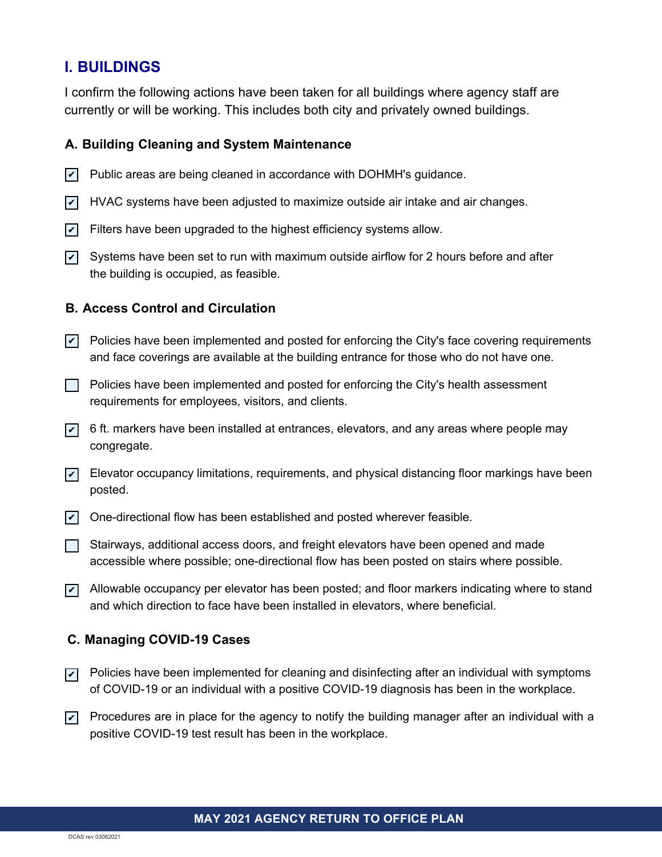# **I. BUILDINGS**

I confirm the following actions have been taken for all buildings where agency staff are currently or will be working. This includes both city and privately owned buildings.

### **A. Building Cleaning and System Maintenance**

- Public areas are being cleaned in accordance with DOHMH's guidance.  $\overline{\mathbf{v}}$
- $\blacktriangledown$  HVAC systems have been adjusted to maximize outside air intake and air changes.
- $\mathbf{v}$  Filters have been upgraded to the highest efficiency systems allow.
- $\checkmark\,$  Systems have been set to run with maximum outside airflow for 2 hours before and after the building is occupied, as feasible.

## **B. Access Control and Circulation**

- $\blacktriangleright$  Policies have been implemented and posted for enforcing the City's face covering requirements and face coverings are available at the building entrance for those who do not have one.
- $\Box$  Policies have been implemented and posted for enforcing the City's health assessment requirements for employees, visitors, and clients.
- $\triangledown$  6 ft. markers have been installed at entrances, elevators, and any areas where people may congregate.
- $\vec{v}$  Elevator occupancy limitations, requirements, and physical distancing floor markings have been posted.
- $\vee$  One-directional flow has been established and posted wherever feasible.
- $\Box$  Stairways, additional access doors, and freight elevators have been opened and made accessible where possible; one-directional flow has been posted on stairs where possible.
- $\triangledown$  Allowable occupancy per elevator has been posted; and floor markers indicating where to stand and which direction to face have been installed in elevators, where beneficial.

### **C. Managing COVID-19 Cases**

- $\nabla$  Policies have been implemented for cleaning and disinfecting after an individual with symptoms of COVID-19 or an individual with a positive COVID-19 diagnosis has been in the workplace.
- $\nabla$  Procedures are in place for the agency to notify the building manager after an individual with a positive COVID-19 test result has been in the workplace.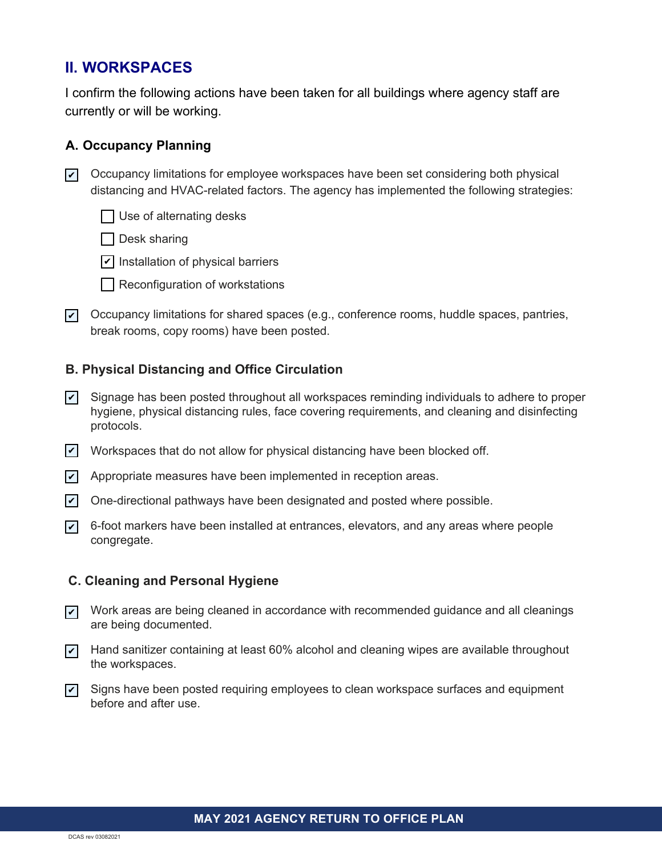# **II. WORKSPACES**

I confirm the following actions have been taken for all buildings where agency staff are currently or will be working.

## **A. Occupancy Planning**

 $\triangledown$  Occupancy limitations for employee workspaces have been set considering both physical distancing and HVAC-related factors. The agency has implemented the following strategies:

 $\Box$  Use of alternating desks

- | Desk sharing
- $\angle$  Installation of physical barriers
- Reconfiguration of workstations
- $\nabla$  Occupancy limitations for shared spaces (e.g., conference rooms, huddle spaces, pantries, break rooms, copy rooms) have been posted.

## **B. Physical Distancing and Office Circulation**

- Signage has been posted throughout all workspaces reminding individuals to adhere to proper hygiene, physical distancing rules, face covering requirements, and cleaning and disinfecting protocols.  $\vert\bm{\mathsf{v}}\vert$
- $\vee$  Workspaces that do not allow for physical distancing have been blocked off.
- $\triangledown$  Appropriate measures have been implemented in reception areas.
- $\angle$  One-directional pathways have been designated and posted where possible.
- $\checkmark$  6-foot markers have been installed at entrances, elevators, and any areas where people congregate.

### **C. Cleaning and Personal Hygiene**

- $\overline{\checkmark}$  . Work areas are being cleaned in accordance with recommended guidance and all cleanings are being documented.
- $\blacktriangledown$  Hand sanitizer containing at least 60% alcohol and cleaning wipes are available throughout the workspaces.
- $\triangledown$  Signs have been posted requiring employees to clean workspace surfaces and equipment before and after use.